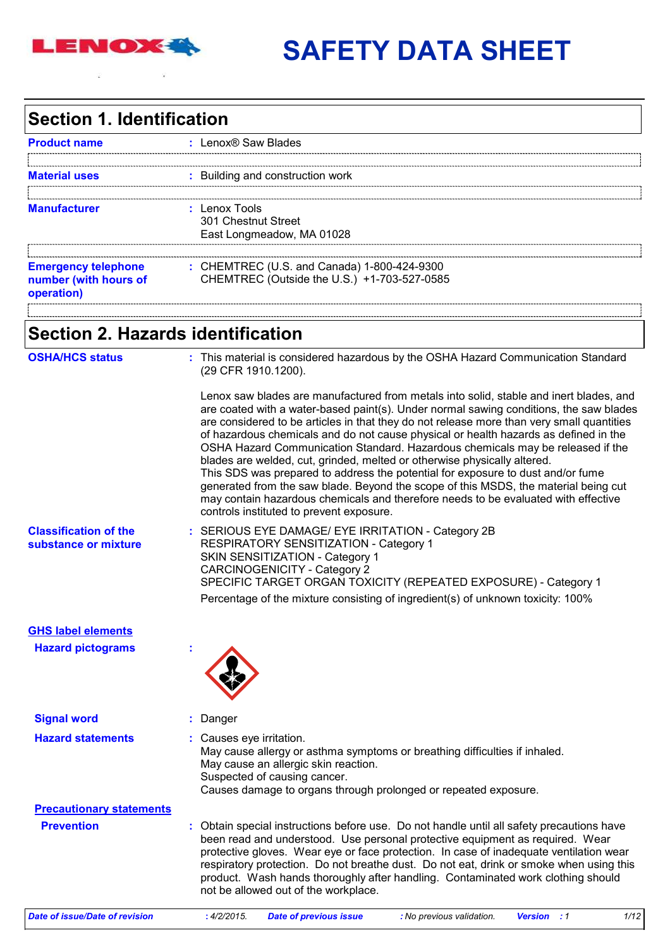

# **SAFETY DATA SHEET**

## **Section 1. Identification**

| : Lenox® Saw Blades                                                                        |
|--------------------------------------------------------------------------------------------|
|                                                                                            |
| : Building and construction work                                                           |
| $:$ Lenox Tools<br>301 Chestnut Street<br>East Longmeadow, MA 01028                        |
| : CHEMTREC (U.S. and Canada) 1-800-424-9300<br>CHEMTREC (Outside the U.S.) +1-703-527-0585 |
|                                                                                            |

## **Section 2. Hazards identification**

| <b>OSHA/HCS status</b>                               | : This material is considered hazardous by the OSHA Hazard Communication Standard<br>(29 CFR 1910.1200).                                                                                                                                                                                                                                                                                                                                                                                                                                                                                                                                                                                                                                                                                                                                        |
|------------------------------------------------------|-------------------------------------------------------------------------------------------------------------------------------------------------------------------------------------------------------------------------------------------------------------------------------------------------------------------------------------------------------------------------------------------------------------------------------------------------------------------------------------------------------------------------------------------------------------------------------------------------------------------------------------------------------------------------------------------------------------------------------------------------------------------------------------------------------------------------------------------------|
|                                                      | Lenox saw blades are manufactured from metals into solid, stable and inert blades, and<br>are coated with a water-based paint(s). Under normal sawing conditions, the saw blades<br>are considered to be articles in that they do not release more than very small quantities<br>of hazardous chemicals and do not cause physical or health hazards as defined in the<br>OSHA Hazard Communication Standard. Hazardous chemicals may be released if the<br>blades are welded, cut, grinded, melted or otherwise physically altered.<br>This SDS was prepared to address the potential for exposure to dust and/or fume<br>generated from the saw blade. Beyond the scope of this MSDS, the material being cut<br>may contain hazardous chemicals and therefore needs to be evaluated with effective<br>controls instituted to prevent exposure. |
| <b>Classification of the</b><br>substance or mixture | : SERIOUS EYE DAMAGE/ EYE IRRITATION - Category 2B<br>RESPIRATORY SENSITIZATION - Category 1<br>SKIN SENSITIZATION - Category 1<br><b>CARCINOGENICITY - Category 2</b><br>SPECIFIC TARGET ORGAN TOXICITY (REPEATED EXPOSURE) - Category 1<br>Percentage of the mixture consisting of ingredient(s) of unknown toxicity: 100%                                                                                                                                                                                                                                                                                                                                                                                                                                                                                                                    |
| <b>GHS label elements</b>                            |                                                                                                                                                                                                                                                                                                                                                                                                                                                                                                                                                                                                                                                                                                                                                                                                                                                 |
| <b>Hazard pictograms</b>                             |                                                                                                                                                                                                                                                                                                                                                                                                                                                                                                                                                                                                                                                                                                                                                                                                                                                 |
| <b>Signal word</b>                                   | Danger                                                                                                                                                                                                                                                                                                                                                                                                                                                                                                                                                                                                                                                                                                                                                                                                                                          |
| <b>Hazard statements</b>                             | : Causes eye irritation.<br>May cause allergy or asthma symptoms or breathing difficulties if inhaled.<br>May cause an allergic skin reaction.<br>Suspected of causing cancer.<br>Causes damage to organs through prolonged or repeated exposure.                                                                                                                                                                                                                                                                                                                                                                                                                                                                                                                                                                                               |
| <b>Precautionary statements</b>                      |                                                                                                                                                                                                                                                                                                                                                                                                                                                                                                                                                                                                                                                                                                                                                                                                                                                 |
| <b>Prevention</b>                                    | : Obtain special instructions before use. Do not handle until all safety precautions have<br>been read and understood. Use personal protective equipment as required. Wear<br>protective gloves. Wear eye or face protection. In case of inadequate ventilation wear<br>respiratory protection. Do not breathe dust. Do not eat, drink or smoke when using this<br>product. Wash hands thoroughly after handling. Contaminated work clothing should<br>not be allowed out of the workplace.                                                                                                                                                                                                                                                                                                                                                     |

| Date of issue/Date of revision<br><b>Date of previous issue</b><br>.4/2/2015.<br>: No previous validation.<br><b>Version</b> : 1 | 1/12 |
|----------------------------------------------------------------------------------------------------------------------------------|------|
|----------------------------------------------------------------------------------------------------------------------------------|------|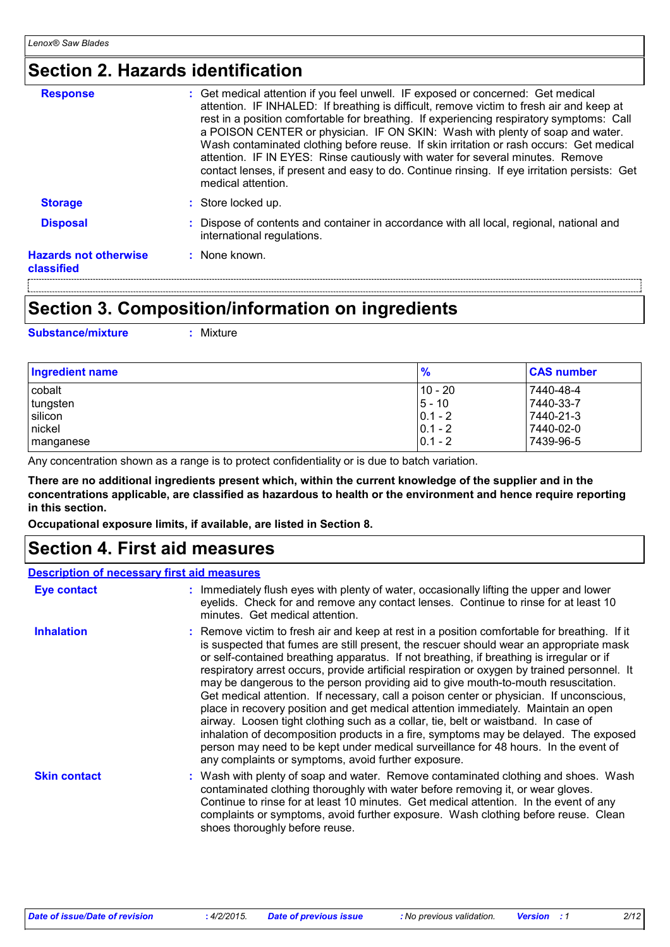## **Section 2. Hazards identification**

| <b>Response</b>                            | : Get medical attention if you feel unwell. IF exposed or concerned: Get medical<br>attention. IF INHALED: If breathing is difficult, remove victim to fresh air and keep at<br>rest in a position comfortable for breathing. If experiencing respiratory symptoms: Call<br>a POISON CENTER or physician. IF ON SKIN: Wash with plenty of soap and water.<br>Wash contaminated clothing before reuse. If skin irritation or rash occurs: Get medical<br>attention. IF IN EYES: Rinse cautiously with water for several minutes. Remove<br>contact lenses, if present and easy to do. Continue rinsing. If eye irritation persists: Get<br>medical attention. |
|--------------------------------------------|--------------------------------------------------------------------------------------------------------------------------------------------------------------------------------------------------------------------------------------------------------------------------------------------------------------------------------------------------------------------------------------------------------------------------------------------------------------------------------------------------------------------------------------------------------------------------------------------------------------------------------------------------------------|
| <b>Storage</b>                             | : Store locked up.                                                                                                                                                                                                                                                                                                                                                                                                                                                                                                                                                                                                                                           |
| <b>Disposal</b>                            | : Dispose of contents and container in accordance with all local, regional, national and<br>international regulations.                                                                                                                                                                                                                                                                                                                                                                                                                                                                                                                                       |
| <b>Hazards not otherwise</b><br>classified | : None known.                                                                                                                                                                                                                                                                                                                                                                                                                                                                                                                                                                                                                                                |
|                                            |                                                                                                                                                                                                                                                                                                                                                                                                                                                                                                                                                                                                                                                              |

## **Section 3. Composition/information on ingredients**

**Substance/mixture :** Mixture

| <b>Ingredient name</b> | $\frac{9}{6}$ | <b>CAS number</b> |
|------------------------|---------------|-------------------|
| cobalt                 | $10 - 20$     | 7440-48-4         |
| tungsten               | $5 - 10$      | 7440-33-7         |
| silicon                | $ 0.1 - 2$    | 7440-21-3         |
| nickel                 | $ 0.1 - 2 $   | 7440-02-0         |
| manganese              | $ 0.1 - 2$    | 7439-96-5         |

Any concentration shown as a range is to protect confidentiality or is due to batch variation.

**There are no additional ingredients present which, within the current knowledge of the supplier and in the concentrations applicable, are classified as hazardous to health or the environment and hence require reporting in this section.**

**Occupational exposure limits, if available, are listed in Section 8.**

## **Section 4. First aid measures**

### **:** Immediately flush eyes with plenty of water, occasionally lifting the upper and lower eyelids. Check for and remove any contact lenses. Continue to rinse for at least 10 minutes. Get medical attention. Wash with plenty of soap and water. Remove contaminated clothing and shoes. Wash **:** contaminated clothing thoroughly with water before removing it, or wear gloves. Continue to rinse for at least 10 minutes. Get medical attention. In the event of any complaints or symptoms, avoid further exposure. Wash clothing before reuse. Clean shoes thoroughly before reuse. **:** Remove victim to fresh air and keep at rest in a position comfortable for breathing. If it is suspected that fumes are still present, the rescuer should wear an appropriate mask or self-contained breathing apparatus. If not breathing, if breathing is irregular or if respiratory arrest occurs, provide artificial respiration or oxygen by trained personnel. It may be dangerous to the person providing aid to give mouth-to-mouth resuscitation. Get medical attention. If necessary, call a poison center or physician. If unconscious, place in recovery position and get medical attention immediately. Maintain an open airway. Loosen tight clothing such as a collar, tie, belt or waistband. In case of inhalation of decomposition products in a fire, symptoms may be delayed. The exposed person may need to be kept under medical surveillance for 48 hours. In the event of any complaints or symptoms, avoid further exposure. **Eye contact Skin contact Inhalation Description of necessary first aid measures**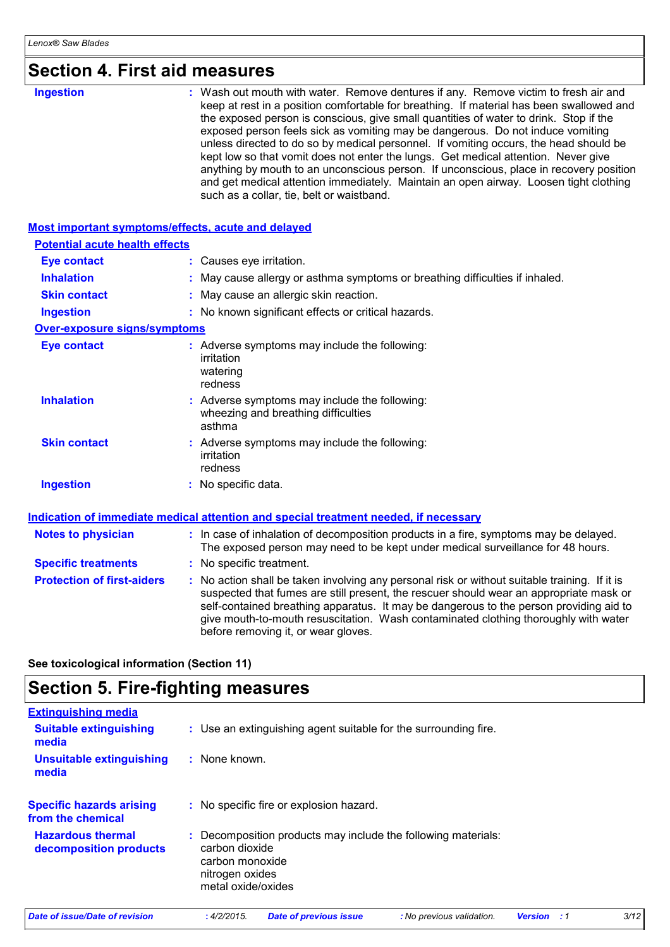| <b>Section 4. First aid measures</b> |  |
|--------------------------------------|--|
|--------------------------------------|--|

| Section 4. First ald measures                      |                                                                                                                                                                                                                                                                                                                                                                                                                                                                                                                                                                                                                                                                                                                                                                         |
|----------------------------------------------------|-------------------------------------------------------------------------------------------------------------------------------------------------------------------------------------------------------------------------------------------------------------------------------------------------------------------------------------------------------------------------------------------------------------------------------------------------------------------------------------------------------------------------------------------------------------------------------------------------------------------------------------------------------------------------------------------------------------------------------------------------------------------------|
| <b>Ingestion</b>                                   | Wash out mouth with water. Remove dentures if any. Remove victim to fresh air and<br>keep at rest in a position comfortable for breathing. If material has been swallowed and<br>the exposed person is conscious, give small quantities of water to drink. Stop if the<br>exposed person feels sick as vomiting may be dangerous. Do not induce vomiting<br>unless directed to do so by medical personnel. If vomiting occurs, the head should be<br>kept low so that vomit does not enter the lungs. Get medical attention. Never give<br>anything by mouth to an unconscious person. If unconscious, place in recovery position<br>and get medical attention immediately. Maintain an open airway. Loosen tight clothing<br>such as a collar, tie, belt or waistband. |
| Most important symptoms/effects, acute and delayed |                                                                                                                                                                                                                                                                                                                                                                                                                                                                                                                                                                                                                                                                                                                                                                         |
| <b>Potential acute health effects</b>              |                                                                                                                                                                                                                                                                                                                                                                                                                                                                                                                                                                                                                                                                                                                                                                         |
| <b>Eye contact</b>                                 | : Causes eye irritation.                                                                                                                                                                                                                                                                                                                                                                                                                                                                                                                                                                                                                                                                                                                                                |
| <b>Inhalation</b>                                  | May cause allergy or asthma symptoms or breathing difficulties if inhaled.                                                                                                                                                                                                                                                                                                                                                                                                                                                                                                                                                                                                                                                                                              |
| <b>Skin contact</b>                                | May cause an allergic skin reaction.                                                                                                                                                                                                                                                                                                                                                                                                                                                                                                                                                                                                                                                                                                                                    |
| <b>Ingestion</b>                                   | : No known significant effects or critical hazards.                                                                                                                                                                                                                                                                                                                                                                                                                                                                                                                                                                                                                                                                                                                     |
| <b>Over-exposure signs/symptoms</b>                |                                                                                                                                                                                                                                                                                                                                                                                                                                                                                                                                                                                                                                                                                                                                                                         |
| <b>Eye contact</b>                                 | : Adverse symptoms may include the following:<br>irritation<br>watering<br>redness                                                                                                                                                                                                                                                                                                                                                                                                                                                                                                                                                                                                                                                                                      |
| <b>Inhalation</b>                                  | : Adverse symptoms may include the following:<br>wheezing and breathing difficulties<br>asthma                                                                                                                                                                                                                                                                                                                                                                                                                                                                                                                                                                                                                                                                          |
| <b>Skin contact</b>                                | : Adverse symptoms may include the following:<br>irritation<br>redness                                                                                                                                                                                                                                                                                                                                                                                                                                                                                                                                                                                                                                                                                                  |
| <b>Ingestion</b>                                   | : No specific data.                                                                                                                                                                                                                                                                                                                                                                                                                                                                                                                                                                                                                                                                                                                                                     |
|                                                    | Indication of immediate medical attention and special treatment needed, if necessary                                                                                                                                                                                                                                                                                                                                                                                                                                                                                                                                                                                                                                                                                    |
| <b>Notes to physician</b>                          | : In case of inhalation of decomposition products in a fire, symptoms may be delayed.<br>The exposed person may need to be kept under medical surveillance for 48 hours.                                                                                                                                                                                                                                                                                                                                                                                                                                                                                                                                                                                                |
| <b>Specific treatments</b>                         | : No specific treatment.                                                                                                                                                                                                                                                                                                                                                                                                                                                                                                                                                                                                                                                                                                                                                |
| <b>Protection of first-aiders</b>                  | No action shall be taken involving any personal risk or without suitable training. If it is<br>suspected that fumes are still present, the rescuer should wear an appropriate mask or<br>self-contained breathing apparatus. It may be dangerous to the person providing aid to<br>give mouth-to-mouth resuscitation. Wash contaminated clothing thoroughly with water<br>before removing it, or wear gloves.                                                                                                                                                                                                                                                                                                                                                           |

**See toxicological information (Section 11)**

## **Section 5. Fire-fighting measures**

| <b>Extinguishing media</b>                           |                                                                                                                                             |
|------------------------------------------------------|---------------------------------------------------------------------------------------------------------------------------------------------|
| <b>Suitable extinguishing</b><br>media               | : Use an extinguishing agent suitable for the surrounding fire.                                                                             |
| <b>Unsuitable extinguishing</b><br>media             | $:$ None known.                                                                                                                             |
| <b>Specific hazards arising</b><br>from the chemical | : No specific fire or explosion hazard.                                                                                                     |
| <b>Hazardous thermal</b><br>decomposition products   | : Decomposition products may include the following materials:<br>carbon dioxide<br>carbon monoxide<br>nitrogen oxides<br>metal oxide/oxides |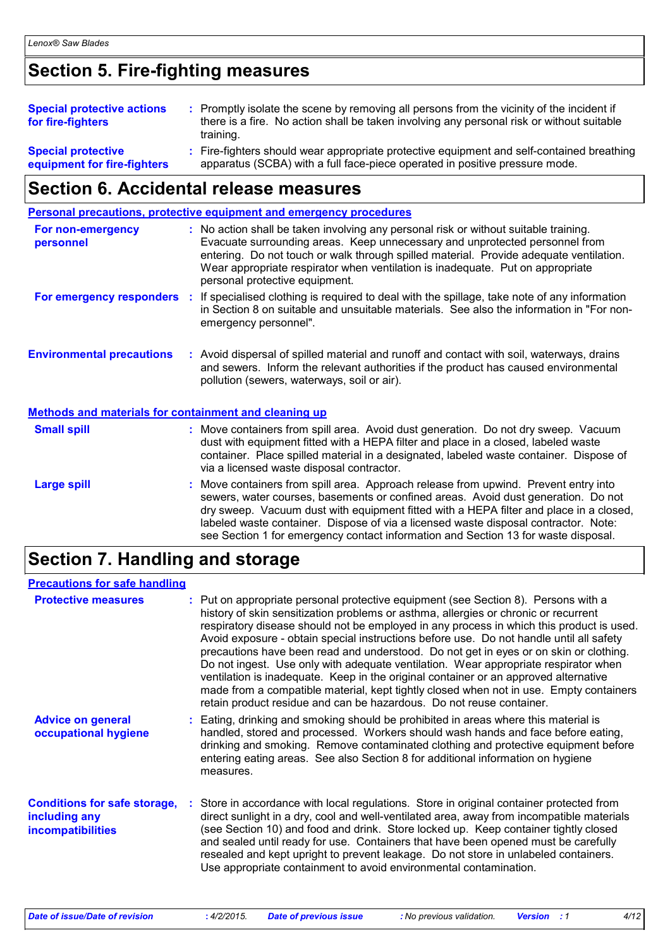## **Section 5. Fire-fighting measures**

| <b>Special protective actions</b><br>for fire-fighters   | : Promptly isolate the scene by removing all persons from the vicinity of the incident if<br>there is a fire. No action shall be taken involving any personal risk or without suitable<br>training. |
|----------------------------------------------------------|-----------------------------------------------------------------------------------------------------------------------------------------------------------------------------------------------------|
| <b>Special protective</b><br>equipment for fire-fighters | : Fire-fighters should wear appropriate protective equipment and self-contained breathing<br>apparatus (SCBA) with a full face-piece operated in positive pressure mode.                            |

## **Section 6. Accidental release measures**

|                                                              | <b>Personal precautions, protective equipment and emergency procedures</b>                                                                                                                                                                                                                                                                                                                                                                    |
|--------------------------------------------------------------|-----------------------------------------------------------------------------------------------------------------------------------------------------------------------------------------------------------------------------------------------------------------------------------------------------------------------------------------------------------------------------------------------------------------------------------------------|
| For non-emergency<br>personnel                               | : No action shall be taken involving any personal risk or without suitable training.<br>Evacuate surrounding areas. Keep unnecessary and unprotected personnel from<br>entering. Do not touch or walk through spilled material. Provide adequate ventilation.<br>Wear appropriate respirator when ventilation is inadequate. Put on appropriate<br>personal protective equipment.                                                             |
| For emergency responders :                                   | If specialised clothing is required to deal with the spillage, take note of any information<br>in Section 8 on suitable and unsuitable materials. See also the information in "For non-<br>emergency personnel".                                                                                                                                                                                                                              |
| <b>Environmental precautions</b>                             | : Avoid dispersal of spilled material and runoff and contact with soil, waterways, drains<br>and sewers. Inform the relevant authorities if the product has caused environmental<br>pollution (sewers, waterways, soil or air).                                                                                                                                                                                                               |
| <b>Methods and materials for containment and cleaning up</b> |                                                                                                                                                                                                                                                                                                                                                                                                                                               |
| <b>Small spill</b>                                           | : Move containers from spill area. Avoid dust generation. Do not dry sweep. Vacuum<br>dust with equipment fitted with a HEPA filter and place in a closed, labeled waste<br>container. Place spilled material in a designated, labeled waste container. Dispose of<br>via a licensed waste disposal contractor.                                                                                                                               |
| <b>Large spill</b>                                           | Move containers from spill area. Approach release from upwind. Prevent entry into<br>sewers, water courses, basements or confined areas. Avoid dust generation. Do not<br>dry sweep. Vacuum dust with equipment fitted with a HEPA filter and place in a closed,<br>labeled waste container. Dispose of via a licensed waste disposal contractor. Note:<br>see Section 1 for emergency contact information and Section 13 for waste disposal. |

## **Section 7. Handling and storage**

### **Precautions for safe handling**

| <b>Protective measures</b>                                                | : Put on appropriate personal protective equipment (see Section 8). Persons with a<br>history of skin sensitization problems or asthma, allergies or chronic or recurrent<br>respiratory disease should not be employed in any process in which this product is used.<br>Avoid exposure - obtain special instructions before use. Do not handle until all safety<br>precautions have been read and understood. Do not get in eyes or on skin or clothing.<br>Do not ingest. Use only with adequate ventilation. Wear appropriate respirator when<br>ventilation is inadequate. Keep in the original container or an approved alternative<br>made from a compatible material, kept tightly closed when not in use. Empty containers<br>retain product residue and can be hazardous. Do not reuse container. |
|---------------------------------------------------------------------------|------------------------------------------------------------------------------------------------------------------------------------------------------------------------------------------------------------------------------------------------------------------------------------------------------------------------------------------------------------------------------------------------------------------------------------------------------------------------------------------------------------------------------------------------------------------------------------------------------------------------------------------------------------------------------------------------------------------------------------------------------------------------------------------------------------|
| <b>Advice on general</b><br>occupational hygiene                          | : Eating, drinking and smoking should be prohibited in areas where this material is<br>handled, stored and processed. Workers should wash hands and face before eating,<br>drinking and smoking. Remove contaminated clothing and protective equipment before<br>entering eating areas. See also Section 8 for additional information on hygiene<br>measures.                                                                                                                                                                                                                                                                                                                                                                                                                                              |
| <b>Conditions for safe storage,</b><br>including any<br>incompatibilities | Store in accordance with local regulations. Store in original container protected from<br>direct sunlight in a dry, cool and well-ventilated area, away from incompatible materials<br>(see Section 10) and food and drink. Store locked up. Keep container tightly closed<br>and sealed until ready for use. Containers that have been opened must be carefully<br>resealed and kept upright to prevent leakage. Do not store in unlabeled containers.<br>Use appropriate containment to avoid environmental contamination.                                                                                                                                                                                                                                                                               |

*Date of issue/Date of revision* **:** *4/2/2015. Date of previous issue : No previous validation. Version : 1 4/12*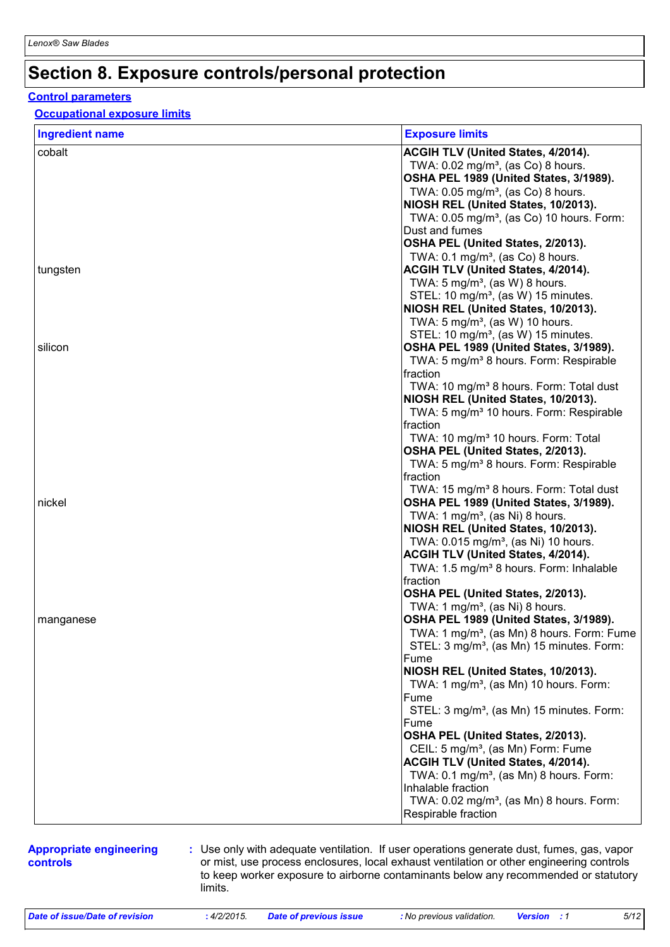## **Section 8. Exposure controls/personal protection**

### **Control parameters**

### **Occupational exposure limits**

| <b>Ingredient name</b> | <b>Exposure limits</b>                                 |
|------------------------|--------------------------------------------------------|
| cobalt                 | ACGIH TLV (United States, 4/2014).                     |
|                        | TWA: $0.02$ mg/m <sup>3</sup> , (as Co) 8 hours.       |
|                        | OSHA PEL 1989 (United States, 3/1989).                 |
|                        | TWA: $0.05$ mg/m <sup>3</sup> , (as Co) 8 hours.       |
|                        | NIOSH REL (United States, 10/2013).                    |
|                        | TWA: 0.05 mg/m <sup>3</sup> , (as Co) 10 hours. Form:  |
|                        | Dust and fumes                                         |
|                        | OSHA PEL (United States, 2/2013).                      |
|                        | TWA: $0.1 \text{ mg/m}^3$ , (as Co) 8 hours.           |
| tungsten               | ACGIH TLV (United States, 4/2014).                     |
|                        | TWA: $5 \text{ mg/m}^3$ , (as W) 8 hours.              |
|                        | STEL: 10 mg/m <sup>3</sup> , (as W) 15 minutes.        |
|                        | NIOSH REL (United States, 10/2013).                    |
|                        | TWA: $5 \text{ mg/m}^3$ , (as W) 10 hours.             |
|                        |                                                        |
| silicon                | STEL: 10 mg/m <sup>3</sup> , (as W) 15 minutes.        |
|                        | OSHA PEL 1989 (United States, 3/1989).                 |
|                        | TWA: 5 mg/m <sup>3</sup> 8 hours. Form: Respirable     |
|                        | fraction                                               |
|                        | TWA: 10 mg/m <sup>3</sup> 8 hours. Form: Total dust    |
|                        | NIOSH REL (United States, 10/2013).                    |
|                        | TWA: 5 mg/m <sup>3</sup> 10 hours. Form: Respirable    |
|                        | fraction                                               |
|                        | TWA: 10 mg/m <sup>3</sup> 10 hours. Form: Total        |
|                        | OSHA PEL (United States, 2/2013).                      |
|                        | TWA: 5 mg/m <sup>3</sup> 8 hours. Form: Respirable     |
|                        | fraction                                               |
|                        | TWA: 15 mg/m <sup>3</sup> 8 hours. Form: Total dust    |
| nickel                 | OSHA PEL 1989 (United States, 3/1989).                 |
|                        | TWA: 1 mg/m <sup>3</sup> , (as Ni) 8 hours.            |
|                        | NIOSH REL (United States, 10/2013).                    |
|                        | TWA: 0.015 mg/m <sup>3</sup> , (as Ni) 10 hours.       |
|                        | ACGIH TLV (United States, 4/2014).                     |
|                        | TWA: 1.5 mg/m <sup>3</sup> 8 hours. Form: Inhalable    |
|                        | fraction                                               |
|                        | OSHA PEL (United States, 2/2013).                      |
|                        | TWA: 1 mg/m <sup>3</sup> , (as Ni) 8 hours.            |
| manganese              | OSHA PEL 1989 (United States, 3/1989).                 |
|                        | TWA: 1 mg/m <sup>3</sup> , (as Mn) 8 hours. Form: Fume |
|                        | STEL: 3 mg/m <sup>3</sup> , (as Mn) 15 minutes. Form:  |
|                        | Fume                                                   |
|                        | NIOSH REL (United States, 10/2013).                    |
|                        | TWA: 1 mg/m <sup>3</sup> , (as Mn) 10 hours. Form:     |
|                        | Fume                                                   |
|                        | STEL: 3 mg/m <sup>3</sup> , (as Mn) 15 minutes. Form:  |
|                        | Fume                                                   |
|                        | OSHA PEL (United States, 2/2013).                      |
|                        | CEIL: 5 mg/m <sup>3</sup> , (as Mn) Form: Fume         |
|                        |                                                        |
|                        | <b>ACGIH TLV (United States, 4/2014).</b>              |
|                        | TWA: 0.1 mg/m <sup>3</sup> , (as Mn) 8 hours. Form:    |
|                        | Inhalable fraction                                     |
|                        | TWA: 0.02 mg/m <sup>3</sup> , (as Mn) 8 hours. Form:   |
|                        | Respirable fraction                                    |

#### **Appropriate engineering controls**

**:** Use only with adequate ventilation. If user operations generate dust, fumes, gas, vapor or mist, use process enclosures, local exhaust ventilation or other engineering controls to keep worker exposure to airborne contaminants below any recommended or statutory limits.

*Date of issue/Date of revision* **:** *4/2/2015. Date of previous issue : No previous validation. Version : 1 5/12*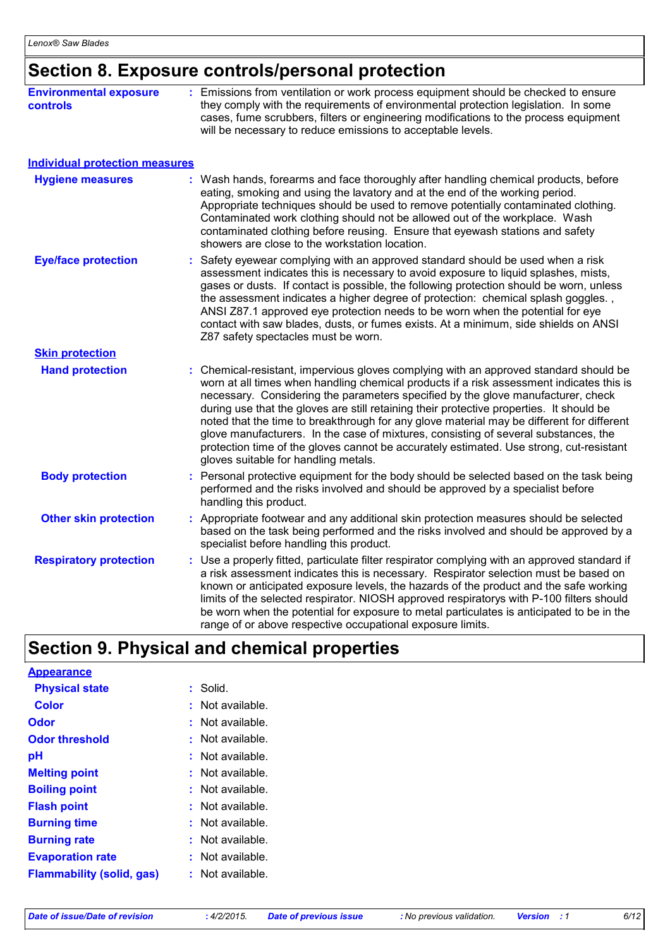## **Section 8. Exposure controls/personal protection**

| <b>Environmental exposure</b><br><b>controls</b>                 | : Emissions from ventilation or work process equipment should be checked to ensure<br>they comply with the requirements of environmental protection legislation. In some<br>cases, fume scrubbers, filters or engineering modifications to the process equipment<br>will be necessary to reduce emissions to acceptable levels.                                                                                                                                                                                                                                                                                                                                                        |  |
|------------------------------------------------------------------|----------------------------------------------------------------------------------------------------------------------------------------------------------------------------------------------------------------------------------------------------------------------------------------------------------------------------------------------------------------------------------------------------------------------------------------------------------------------------------------------------------------------------------------------------------------------------------------------------------------------------------------------------------------------------------------|--|
|                                                                  |                                                                                                                                                                                                                                                                                                                                                                                                                                                                                                                                                                                                                                                                                        |  |
| <b>Individual protection measures</b><br><b>Hygiene measures</b> | Wash hands, forearms and face thoroughly after handling chemical products, before<br>eating, smoking and using the lavatory and at the end of the working period.<br>Appropriate techniques should be used to remove potentially contaminated clothing.<br>Contaminated work clothing should not be allowed out of the workplace. Wash<br>contaminated clothing before reusing. Ensure that eyewash stations and safety<br>showers are close to the workstation location.                                                                                                                                                                                                              |  |
| <b>Eye/face protection</b>                                       | Safety eyewear complying with an approved standard should be used when a risk<br>assessment indicates this is necessary to avoid exposure to liquid splashes, mists,<br>gases or dusts. If contact is possible, the following protection should be worn, unless<br>the assessment indicates a higher degree of protection: chemical splash goggles.,<br>ANSI Z87.1 approved eye protection needs to be worn when the potential for eye<br>contact with saw blades, dusts, or fumes exists. At a minimum, side shields on ANSI<br>Z87 safety spectacles must be worn.                                                                                                                   |  |
| <b>Skin protection</b>                                           |                                                                                                                                                                                                                                                                                                                                                                                                                                                                                                                                                                                                                                                                                        |  |
| <b>Hand protection</b>                                           | Chemical-resistant, impervious gloves complying with an approved standard should be<br>worn at all times when handling chemical products if a risk assessment indicates this is<br>necessary. Considering the parameters specified by the glove manufacturer, check<br>during use that the gloves are still retaining their protective properties. It should be<br>noted that the time to breakthrough for any glove material may be different for different<br>glove manufacturers. In the case of mixtures, consisting of several substances, the<br>protection time of the gloves cannot be accurately estimated. Use strong, cut-resistant<br>gloves suitable for handling metals. |  |
| <b>Body protection</b>                                           | Personal protective equipment for the body should be selected based on the task being<br>performed and the risks involved and should be approved by a specialist before<br>handling this product.                                                                                                                                                                                                                                                                                                                                                                                                                                                                                      |  |
| <b>Other skin protection</b>                                     | Appropriate footwear and any additional skin protection measures should be selected<br>based on the task being performed and the risks involved and should be approved by a<br>specialist before handling this product.                                                                                                                                                                                                                                                                                                                                                                                                                                                                |  |
| <b>Respiratory protection</b>                                    | : Use a properly fitted, particulate filter respirator complying with an approved standard if<br>a risk assessment indicates this is necessary. Respirator selection must be based on<br>known or anticipated exposure levels, the hazards of the product and the safe working<br>limits of the selected respirator. NIOSH approved respiratorys with P-100 filters should<br>be worn when the potential for exposure to metal particulates is anticipated to be in the<br>range of or above respective occupational exposure limits.                                                                                                                                                  |  |

## **Section 9. Physical and chemical properties**

| <b>Appearance</b>                |                      |
|----------------------------------|----------------------|
| <b>Physical state</b>            | : Solid.             |
| Color                            | : Not available.     |
| Odor                             | : Not available.     |
| <b>Odor threshold</b>            | Not available.<br>t. |
| рH                               | Not available.       |
| <b>Melting point</b>             | Not available.       |
| <b>Boiling point</b>             | : Not available.     |
| <b>Flash point</b>               | : Not available.     |
| <b>Burning time</b>              | Not available.       |
| <b>Burning rate</b>              | Not available.       |
| <b>Evaporation rate</b>          | Not available.<br>t. |
| <b>Flammability (solid, gas)</b> | : Not available.     |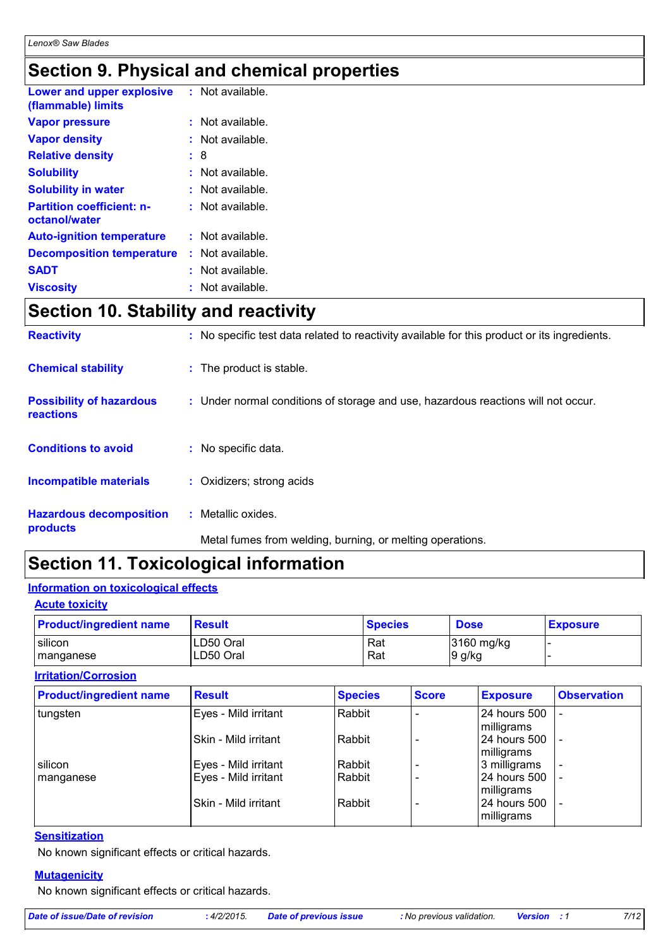## **Section 9. Physical and chemical properties**

| Lower and upper explosive<br>(flammable) limits   | $:$ Not available. |
|---------------------------------------------------|--------------------|
| <b>Vapor pressure</b>                             | Not available.     |
| <b>Vapor density</b>                              | Not available.     |
| <b>Relative density</b>                           | : 8                |
| <b>Solubility</b>                                 | $:$ Not available. |
| <b>Solubility in water</b>                        | : Not available.   |
| <b>Partition coefficient: n-</b><br>octanol/water | $:$ Not available. |
| <b>Auto-ignition temperature</b>                  | : Not available.   |
| <b>Decomposition temperature</b>                  | : Not available.   |
| <b>SADT</b>                                       | Not available.     |
| <b>Viscosity</b>                                  | : Not available.   |

## **Section 10. Stability and reactivity**

| <b>Reactivity</b>                                   | : No specific test data related to reactivity available for this product or its ingredients. |
|-----------------------------------------------------|----------------------------------------------------------------------------------------------|
| <b>Chemical stability</b>                           | : The product is stable.                                                                     |
| <b>Possibility of hazardous</b><br><b>reactions</b> | : Under normal conditions of storage and use, hazardous reactions will not occur.            |
| <b>Conditions to avoid</b>                          | : No specific data.                                                                          |
| <b>Incompatible materials</b>                       | : Oxidizers; strong acids                                                                    |
| <b>Hazardous decomposition</b><br>products          | : Metallic oxides.                                                                           |
|                                                     | Metal fumes from welding, burning, or melting operations.                                    |

## **Section 11. Toxicological information**

### **Information on toxicological effects**

### **Acute toxicity**

| <b>Product/ingredient name</b> | <b>Result</b> | <b>Species</b> | <b>Dose</b>  | <b>Exposure</b> |
|--------------------------------|---------------|----------------|--------------|-----------------|
| silicon                        | LD50 Oral     | Rat            | $3160$ mg/kg |                 |
| manganese                      | LD50 Oral     | Rat            | l9 g/kg      |                 |

### **Irritation/Corrosion**

| <b>Product/ingredient name</b> | <b>Result</b>        | <b>Species</b> | <b>Score</b> | <b>Exposure</b>            | <b>Observation</b>       |
|--------------------------------|----------------------|----------------|--------------|----------------------------|--------------------------|
| tungsten                       | Eyes - Mild irritant | Rabbit         |              | 24 hours 500<br>milligrams |                          |
|                                | Skin - Mild irritant | Rabbit         |              | 24 hours 500<br>milligrams |                          |
| silicon                        | Eyes - Mild irritant | Rabbit         |              | 3 milligrams               | $\blacksquare$           |
| manganese                      | Eyes - Mild irritant | Rabbit         |              | 24 hours 500<br>milligrams | $\overline{\phantom{0}}$ |
|                                | Skin - Mild irritant | Rabbit         |              | 24 hours 500<br>milligrams |                          |

### **Sensitization**

No known significant effects or critical hazards.

### **Mutagenicity**

No known significant effects or critical hazards.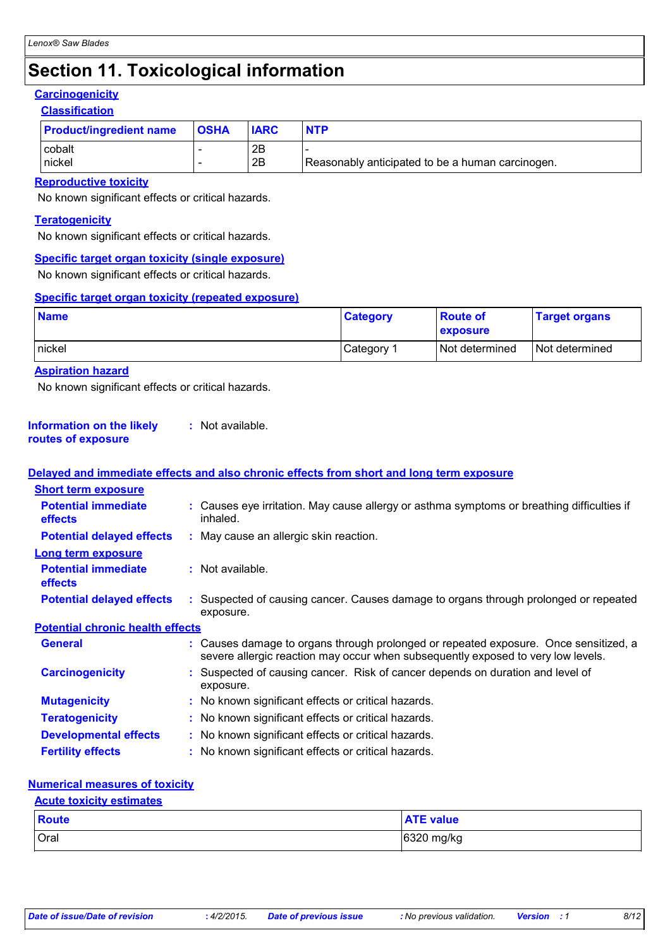## **Section 11. Toxicological information**

## **Carcinogenicity**

### **Classification**

| <b>Product/ingredient name</b> | <b>OSHA</b> | <b>IARC</b> | <b>NTP</b>                                       |
|--------------------------------|-------------|-------------|--------------------------------------------------|
| cobalt                         |             | 2B          |                                                  |
| nickel                         |             | 2B          | Reasonably anticipated to be a human carcinogen. |

### **Reproductive toxicity**

No known significant effects or critical hazards.

### **Teratogenicity**

No known significant effects or critical hazards.

### **Specific target organ toxicity (single exposure)**

No known significant effects or critical hazards.

### **Specific target organ toxicity (repeated exposure)**

| <b>Name</b> | <b>Category</b> | <b>Route of</b><br><b>exposure</b> | <b>Target organs</b> |
|-------------|-----------------|------------------------------------|----------------------|
| Inickel     | Category        | Not determined                     | Not determined       |

### **Aspiration hazard**

No known significant effects or critical hazards.

#### **Information on the likely routes of exposure :** Not available.

#### Causes damage to organs through prolonged or repeated exposure. Once sensitized, a severe allergic reaction may occur when subsequently exposed to very low levels. **General :** Suspected of causing cancer. Risk of cancer depends on duration and level of exposure. **Carcinogenicity : Mutagenicity :** No known significant effects or critical hazards. **Teratogenicity :** No known significant effects or critical hazards. **Developmental effects :** No known significant effects or critical hazards. **Fertility effects :** No known significant effects or critical hazards. **Potential chronic health effects Delayed and immediate effects and also chronic effects from short and long term exposure Potential immediate effects :** Causes eye irritation. May cause allergy or asthma symptoms or breathing difficulties if inhaled. **Short term exposure Potential delayed effects : May cause an allergic skin reaction. Potential immediate effects :** Not available. **Long term exposure Potential delayed effects :** Suspected of causing cancer. Causes damage to organs through prolonged or repeated exposure.

### **Numerical measures of toxicity**

### **Acute toxicity estimates**

| Route       | <b>ATE value</b> |
|-------------|------------------|
| <b>Oral</b> | 6320 mg/kg       |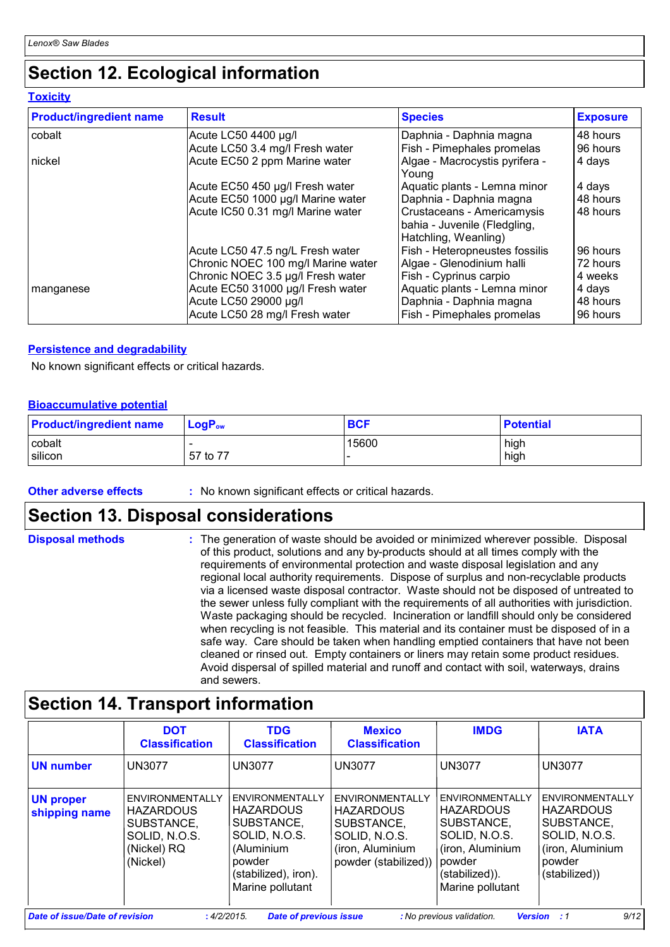## **Section 12. Ecological information**

**Toxicity**

| <b>Product/ingredient name</b> | <b>Result</b>                      | <b>Species</b>                                                                     | <b>Exposure</b> |
|--------------------------------|------------------------------------|------------------------------------------------------------------------------------|-----------------|
| cobalt                         | Acute LC50 4400 µg/l               | Daphnia - Daphnia magna                                                            | 48 hours        |
|                                | Acute LC50 3.4 mg/l Fresh water    | Fish - Pimephales promelas                                                         | 96 hours        |
| nickel                         | Acute EC50 2 ppm Marine water      | Algae - Macrocystis pyrifera -<br>Young                                            | 4 days          |
|                                | Acute EC50 450 µg/l Fresh water    | Aquatic plants - Lemna minor                                                       | 4 days          |
|                                | Acute EC50 1000 µg/l Marine water  | Daphnia - Daphnia magna                                                            | 48 hours        |
|                                | Acute IC50 0.31 mg/l Marine water  | Crustaceans - Americamysis<br>bahia - Juvenile (Fledgling,<br>Hatchling, Weanling) | 48 hours        |
|                                | Acute LC50 47.5 ng/L Fresh water   | Fish - Heteropneustes fossilis                                                     | 96 hours        |
|                                | Chronic NOEC 100 mg/l Marine water | Algae - Glenodinium halli                                                          | 72 hours        |
|                                | Chronic NOEC 3.5 µg/l Fresh water  | Fish - Cyprinus carpio                                                             | 4 weeks         |
| manganese                      | Acute EC50 31000 µg/l Fresh water  | Aquatic plants - Lemna minor                                                       | 4 days          |
|                                | Acute LC50 29000 µg/l              | Daphnia - Daphnia magna                                                            | 48 hours        |
|                                | Acute LC50 28 mg/l Fresh water     | Fish - Pimephales promelas                                                         | 96 hours        |

### **Persistence and degradability**

No known significant effects or critical hazards.

### **Bioaccumulative potential**

| <b>Product/ingredient name</b> | $\blacksquare$ Loq $\mathsf{P}_\mathsf{ow}$ | <b>BCF</b> | <b>Potential</b> |
|--------------------------------|---------------------------------------------|------------|------------------|
| cobalt                         |                                             | 15600      | high             |
| silicon                        | 57 to 77                                    |            | high             |

**Other adverse effects** : No known significant effects or critical hazards.

## **Section 13. Disposal considerations**

| <b>Disposal methods</b> | : The generation of waste should be avoided or minimized wherever possible. Disposal<br>of this product, solutions and any by-products should at all times comply with the<br>requirements of environmental protection and waste disposal legislation and any<br>regional local authority requirements. Dispose of surplus and non-recyclable products<br>via a licensed waste disposal contractor. Waste should not be disposed of untreated to<br>the sewer unless fully compliant with the requirements of all authorities with jurisdiction.<br>Waste packaging should be recycled. Incineration or landfill should only be considered<br>when recycling is not feasible. This material and its container must be disposed of in a<br>safe way. Care should be taken when handling emptied containers that have not been<br>cleaned or rinsed out. Empty containers or liners may retain some product residues.<br>Avoid dispersal of spilled material and runoff and contact with soil, waterways, drains |
|-------------------------|----------------------------------------------------------------------------------------------------------------------------------------------------------------------------------------------------------------------------------------------------------------------------------------------------------------------------------------------------------------------------------------------------------------------------------------------------------------------------------------------------------------------------------------------------------------------------------------------------------------------------------------------------------------------------------------------------------------------------------------------------------------------------------------------------------------------------------------------------------------------------------------------------------------------------------------------------------------------------------------------------------------|
|                         | and sewers.                                                                                                                                                                                                                                                                                                                                                                                                                                                                                                                                                                                                                                                                                                                                                                                                                                                                                                                                                                                                    |

## **Section 14. Transport information**

|                                   | <b>DOT</b><br><b>Classification</b>                                                           | <b>TDG</b><br><b>Classification</b>                                                                                                    | <b>Mexico</b><br><b>Classification</b>                                                                         | <b>IMDG</b>                                                                                                                            | <b>IATA</b>                                                                                                       |
|-----------------------------------|-----------------------------------------------------------------------------------------------|----------------------------------------------------------------------------------------------------------------------------------------|----------------------------------------------------------------------------------------------------------------|----------------------------------------------------------------------------------------------------------------------------------------|-------------------------------------------------------------------------------------------------------------------|
| <b>UN number</b>                  | <b>UN3077</b>                                                                                 | <b>UN3077</b>                                                                                                                          | <b>UN3077</b>                                                                                                  | <b>UN3077</b>                                                                                                                          | <b>UN3077</b>                                                                                                     |
| <b>UN proper</b><br>shipping name | ENVIRONMENTALLY<br><b>HAZARDOUS</b><br>SUBSTANCE,<br>SOLID, N.O.S.<br>(Nickel) RQ<br>(Nickel) | ENVIRONMENTALLY<br><b>HAZARDOUS</b><br>SUBSTANCE,<br>SOLID, N.O.S.<br>(Aluminium<br>powder<br>(stabilized), iron).<br>Marine pollutant | ENVIRONMENTALLY<br><b>HAZARDOUS</b><br>SUBSTANCE,<br>SOLID, N.O.S.<br>(iron, Aluminium<br>powder (stabilized)) | ENVIRONMENTALLY<br><b>HAZARDOUS</b><br>SUBSTANCE,<br>SOLID, N.O.S.<br>(iron, Aluminium<br>powder<br>(stabilized)).<br>Marine pollutant | ENVIRONMENTALLY<br><b>HAZARDOUS</b><br>SUBSTANCE,<br>SOLID, N.O.S.<br>(iron, Aluminium<br>powder<br>(stabilized)) |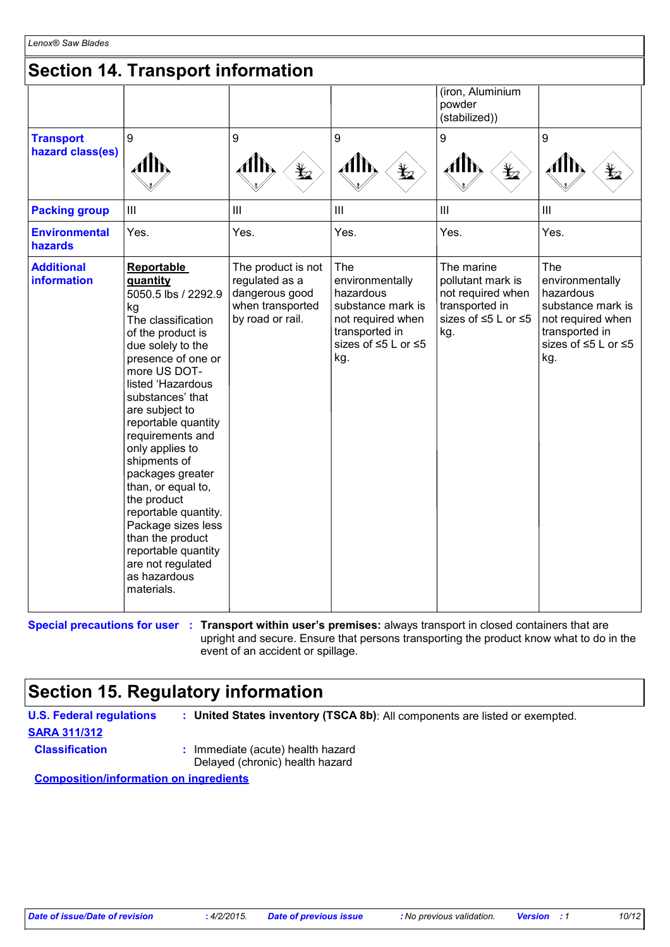## **Section 14. Transport information**

| <b>Transport</b><br>hazard class(es)<br><b>Packing group</b> | 9<br>AlN<br>$\mathop{\rm III}$                                                                                                                                                                                                                                                                                                                                                                                                                                                                                 | 9<br>$\bigstar$<br>$\mathbf{III}$                                                              | 9<br>Alh,<br>$\bigstar$<br>III                                                                                                | (iron, Aluminium<br>powder<br>(stabilized))<br>9<br>Alb<br>$\bigstar$<br>III                         | 9<br>$\ensuremath{\mathsf{III}}\xspace$                                                                                       |
|--------------------------------------------------------------|----------------------------------------------------------------------------------------------------------------------------------------------------------------------------------------------------------------------------------------------------------------------------------------------------------------------------------------------------------------------------------------------------------------------------------------------------------------------------------------------------------------|------------------------------------------------------------------------------------------------|-------------------------------------------------------------------------------------------------------------------------------|------------------------------------------------------------------------------------------------------|-------------------------------------------------------------------------------------------------------------------------------|
| <b>Environmental</b><br>hazards                              | Yes.                                                                                                                                                                                                                                                                                                                                                                                                                                                                                                           | Yes.                                                                                           | Yes.                                                                                                                          | Yes.                                                                                                 | Yes.                                                                                                                          |
| <b>Additional</b><br><b>information</b>                      | <b>Reportable</b><br>quantity<br>5050.5 lbs / 2292.9<br>kg<br>The classification<br>of the product is<br>due solely to the<br>presence of one or<br>more US DOT-<br>listed 'Hazardous<br>substances' that<br>are subject to<br>reportable quantity<br>requirements and<br>only applies to<br>shipments of<br>packages greater<br>than, or equal to,<br>the product<br>reportable quantity.<br>Package sizes less<br>than the product<br>reportable quantity<br>are not regulated<br>as hazardous<br>materials. | The product is not<br>regulated as a<br>dangerous good<br>when transported<br>by road or rail. | The<br>environmentally<br>hazardous<br>substance mark is<br>not required when<br>transported in<br>sizes of ≤5 L or ≤5<br>kg. | The marine<br>pollutant mark is<br>not required when<br>transported in<br>sizes of ≤5 L or ≤5<br>kg. | The<br>environmentally<br>hazardous<br>substance mark is<br>not required when<br>transported in<br>sizes of ≤5 L or ≤5<br>kg. |

**Special precautions for user** : Transport within user's premises: always transport in closed containers that are upright and secure. Ensure that persons transporting the product know what to do in the event of an accident or spillage.

## **Section 15. Regulatory information**

**U.S. Federal regulations : United States inventory (TSCA 8b)**: All components are listed or exempted. **SARA 311/312 Classification :** Immediate (acute) health hazard Delayed (chronic) health hazard

**Composition/information on ingredients**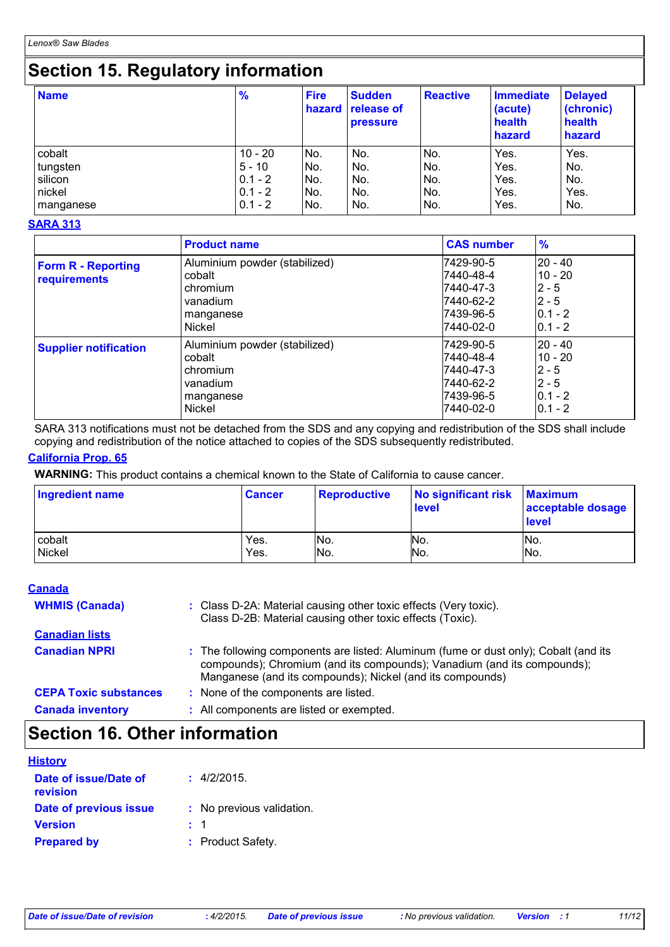## **Section 15. Regulatory information**

| <b>Name</b> | $\frac{9}{6}$ | <b>Fire</b><br>hazard | <b>Sudden</b><br><b>release of</b><br><b>pressure</b> | <b>Reactive</b> | Immediate<br>(acute)<br>health<br>hazard | <b>Delayed</b><br>(chronic)<br>health<br>hazard |
|-------------|---------------|-----------------------|-------------------------------------------------------|-----------------|------------------------------------------|-------------------------------------------------|
| cobalt      | $10 - 20$     | No.                   | No.                                                   | No.             | Yes.                                     | Yes.                                            |
| tungsten    | $5 - 10$      | INo.                  | No.                                                   | No.             | Yes.                                     | No.                                             |
| silicon     | $0.1 - 2$     | No.                   | No.                                                   | No.             | Yes.                                     | No.                                             |
| nickel      | $0.1 - 2$     | INo.                  | No.                                                   | No.             | Yes.                                     | Yes.                                            |
| manganese   | $0.1 - 2$     | INo.                  | No.                                                   | No.             | Yes.                                     | No.                                             |

### **SARA 313**

|                                           | <b>Product name</b>                                                                    | <b>CAS number</b>                                                          | $\frac{9}{6}$                                                          |
|-------------------------------------------|----------------------------------------------------------------------------------------|----------------------------------------------------------------------------|------------------------------------------------------------------------|
| <b>Form R - Reporting</b><br>requirements | Aluminium powder (stabilized)<br>cobalt<br>chromium<br>vanadium<br>manganese<br>Nickel | 7429-90-5<br>7440-48-4<br>7440-47-3<br>7440-62-2<br>7439-96-5<br>7440-02-0 | $20 - 40$<br>$10 - 20$<br>$2 - 5$<br>$2 - 5$<br>$0.1 - 2$<br>$0.1 - 2$ |
| <b>Supplier notification</b>              | Aluminium powder (stabilized)<br>cobalt<br>chromium<br>vanadium<br>manganese<br>Nickel | 7429-90-5<br>7440-48-4<br>7440-47-3<br>7440-62-2<br>7439-96-5<br>7440-02-0 | $20 - 40$<br>$10 - 20$<br>$2 - 5$<br>$2 - 5$<br>$0.1 - 2$<br>$0.1 - 2$ |

SARA 313 notifications must not be detached from the SDS and any copying and redistribution of the SDS shall include copying and redistribution of the notice attached to copies of the SDS subsequently redistributed.

### **California Prop. 65**

**WARNING:** This product contains a chemical known to the State of California to cause cancer.

| <b>Ingredient name</b> | <b>Cancer</b> | <b>Reproductive</b> | No significant risk<br><b>level</b> | <b>Maximum</b><br>acceptable dosage<br><b>level</b> |
|------------------------|---------------|---------------------|-------------------------------------|-----------------------------------------------------|
| cobalt                 | Yes.          | INo.                | No.                                 | No.                                                 |
| Nickel                 | Yes.          | IN <sub>O</sub> .   | No.                                 | No.                                                 |

### **Canada**

| <b>WHMIS (Canada)</b>        | : Class D-2A: Material causing other toxic effects (Very toxic).<br>Class D-2B: Material causing other toxic effects (Toxic).                                                                                                |
|------------------------------|------------------------------------------------------------------------------------------------------------------------------------------------------------------------------------------------------------------------------|
| <b>Canadian lists</b>        |                                                                                                                                                                                                                              |
| <b>Canadian NPRI</b>         | : The following components are listed: Aluminum (fume or dust only); Cobalt (and its<br>compounds); Chromium (and its compounds); Vanadium (and its compounds);<br>Manganese (and its compounds); Nickel (and its compounds) |
| <b>CEPA Toxic substances</b> | : None of the components are listed.                                                                                                                                                                                         |
| <b>Canada inventory</b>      | : All components are listed or exempted.                                                                                                                                                                                     |

## **Section 16. Other information**

| <b>History</b>                    |                           |
|-----------------------------------|---------------------------|
| Date of issue/Date of<br>revision | : 4/2/2015.               |
| Date of previous issue            | : No previous validation. |
| <b>Version</b>                    | : 1                       |
| <b>Prepared by</b>                | : Product Safety.         |